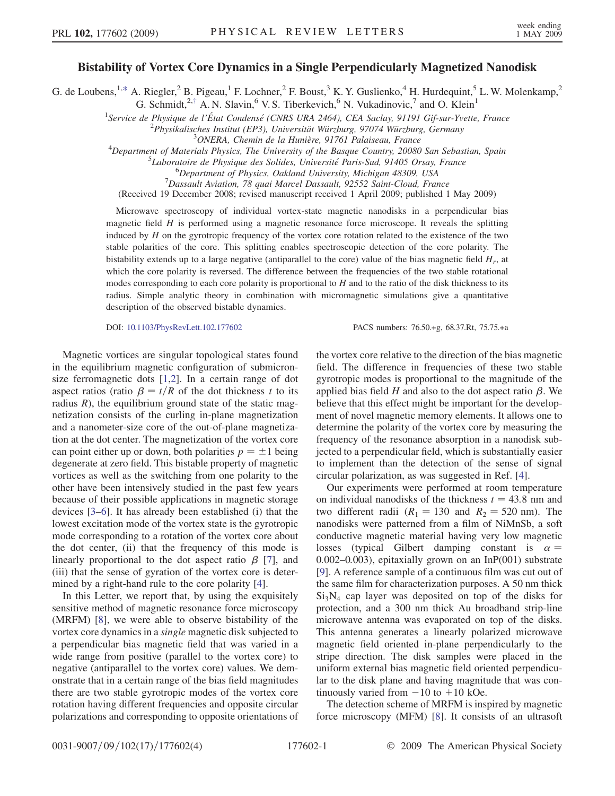## Bistability of Vortex Core Dynamics in a Single Perpendicularly Magnetized Nanodisk

G. de Loubens,<sup>1[,\\*](#page-3-0)</sup> A. Riegler,<sup>2</sup> B. Pigeau,<sup>1</sup> F. Lochner,<sup>2</sup> F. Boust,<sup>3</sup> K. Y. Guslienko,<sup>4</sup> H. Hurdequint,<sup>5</sup> L. W. Molenkamp,<sup>2</sup>

G. Schmidt,<sup>2[,†](#page-3-0)</sup> A. N. Slavin,<sup>6</sup> V. S. Tiberkevich,<sup>6</sup> N. Vukadinovic,<sup>7</sup> and O. Klein<sup>1</sup>

<sup>1</sup>Service de Physique de l'État Condensé (CNRS URA 2464), CEA Saclay, 91191 Gif-sur-Yvette, France<br><sup>2</sup>Physikalisabes Institut (EP3), Universität Wiinshurg, 07074 Wiinshurg, Carmany

<sup>2</sup>Physikalisches Institut (EP3), Universität Würzburg, 97074 Würzburg, Germany <sup>3</sup>ONERA, Chemin de la Hunière, 91761 Palaiseau, France

Department of Materials Physics, The University of the Basque Country, 20080 San Sebastian, Spain<br>5 I aboratoire de Physicus des Solides Université Paris Sud, 01405 Orsay France

 ${}^{5}$ Laboratoire de Physique des Solides, Université Paris-Sud, 91405 Orsay, France

<sup>6</sup>Department of Physics, Oakland University, Michigan 48309, USA

 $17$ Dassault Aviation, 78 quai Marcel Dassault, 92552 Saint-Cloud, France

(Received 19 December 2008; revised manuscript received 1 April 2009; published 1 May 2009)

Microwave spectroscopy of individual vortex-state magnetic nanodisks in a perpendicular bias magnetic field  $H$  is performed using a magnetic resonance force microscope. It reveals the splitting induced by  $H$  on the gyrotropic frequency of the vortex core rotation related to the existence of the two stable polarities of the core. This splitting enables spectroscopic detection of the core polarity. The bistability extends up to a large negative (antiparallel to the core) value of the bias magnetic field  $H_r$ , at which the core polarity is reversed. The difference between the frequencies of the two stable rotational modes corresponding to each core polarity is proportional to  $H$  and to the ratio of the disk thickness to its radius. Simple analytic theory in combination with micromagnetic simulations give a quantitative description of the observed bistable dynamics.

DOI: [10.1103/PhysRevLett.102.177602](http://dx.doi.org/10.1103/PhysRevLett.102.177602) PACS numbers: 76.50.+g, 68.37.Rt, 75.75.+a

Magnetic vortices are singular topological states found in the equilibrium magnetic configuration of submicronsize ferromagnetic dots [1,2]. In a certain range of dot aspect ratios (ratio  $\beta = t/R$  of the dot thickness t to its radius  $R$ ), the equilibrium ground state of the static magnetization consists of the curling in-plane magnetization and a nanometer-size core of the out-of-plane magnetization at the dot center. The magnetization of the vortex core can point either up or down, both polarities  $p = \pm 1$  being degenerate at zero field. This bistable property of magnetic vortices as well as the switching from one polarity to the other have been intensively studied in the past few years because of their possible applications in magnetic storage devices [3–6]. It has already been established (i) that the lowest excitation mode of the vortex state is the gyrotropic mode corresponding to a rotation of the vortex core about the dot center, (ii) that the frequency of this mode is linearly proportional to the dot aspect ratio  $\beta$  [7], and (iii) that the sense of gyration of the vortex core is determined by a right-hand rule to the core polarity [4].

In this Letter, we report that, by using the exquisitely sensitive method of magnetic resonance force microscopy (MRFM) [8], we were able to observe bistability of the vortex core dynamics in a single magnetic disk subjected to a perpendicular bias magnetic field that was varied in a wide range from positive (parallel to the vortex core) to negative (antiparallel to the vortex core) values. We demonstrate that in a certain range of the bias field magnitudes there are two stable gyrotropic modes of the vortex core rotation having different frequencies and opposite circular polarizations and corresponding to opposite orientations of the vortex core relative to the direction of the bias magnetic field. The difference in frequencies of these two stable gyrotropic modes is proportional to the magnitude of the applied bias field  $H$  and also to the dot aspect ratio  $\beta$ . We believe that this effect might be important for the development of novel magnetic memory elements. It allows one to determine the polarity of the vortex core by measuring the frequency of the resonance absorption in a nanodisk subjected to a perpendicular field, which is substantially easier to implement than the detection of the sense of signal circular polarization, as was suggested in Ref. [4].

Our experiments were performed at room temperature on individual nanodisks of the thickness  $t = 43.8$  nm and two different radii  $(R_1 = 130 \text{ and } R_2 = 520 \text{ nm})$ . The nanodisks were patterned from a film of NiMnSb, a soft conductive magnetic material having very low magnetic losses (typical Gilbert damping constant is  $\alpha =$  $(0.002-0.003)$ , epitaxially grown on an InP(001) substrate [9]. A reference sample of a continuous film was cut out of the same film for characterization purposes. A 50 nm thick  $Si<sub>3</sub>N<sub>4</sub>$  cap layer was deposited on top of the disks for protection, and a 300 nm thick Au broadband strip-line microwave antenna was evaporated on top of the disks. This antenna generates a linearly polarized microwave magnetic field oriented in-plane perpendicularly to the stripe direction. The disk samples were placed in the uniform external bias magnetic field oriented perpendicular to the disk plane and having magnitude that was continuously varied from  $-10$  to  $+10$  kOe.<br>The detection scheme of MRFM is ins

The detection scheme of MRFM is inspired by magnetic force microscopy (MFM) [8]. It consists of an ultrasoft

<sup>&</sup>lt;sup>3</sup>ONERA, Chemin de la Hunière, 91761 Palaiseau, France<br><sup>4</sup>Department of Materials Physics. The University of the Basque Country, 20080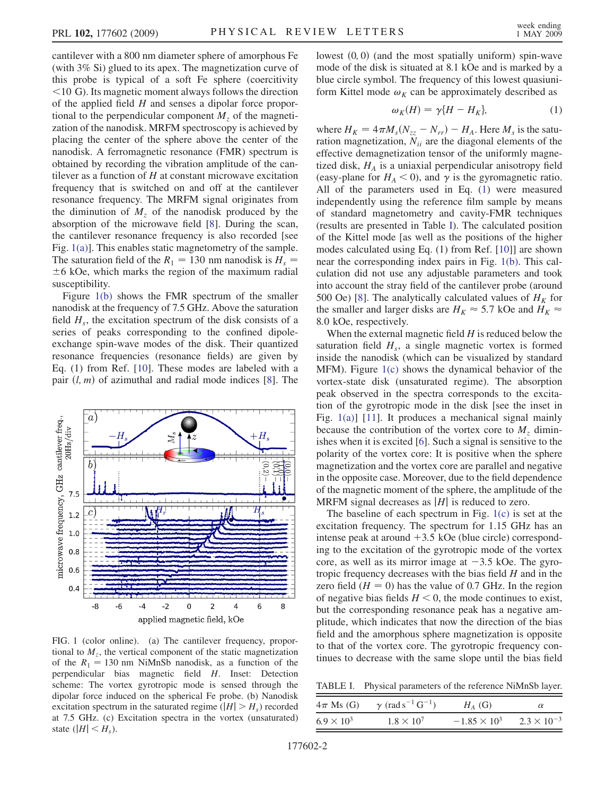<span id="page-1-1"></span>cantilever with a 800 nm diameter sphere of amorphous Fe (with 3% Si) glued to its apex. The magnetization curve of this probe is typical of a soft Fe sphere (coercitivity <10 G). Its magnetic moment always follows the direction of the applied field  $H$  and senses a dipolar force proportional to the perpendicular component  $M<sub>z</sub>$  of the magnetization of the nanodisk. MRFM spectroscopy is achieved by placing the center of the sphere above the center of the nanodisk. A ferromagnetic resonance (FMR) spectrum is obtained by recording the vibration amplitude of the cantilever as a function of  $H$  at constant microwave excitation frequency that is switched on and off at the cantilever resonance frequency. The MRFM signal originates from the diminution of  $M<sub>z</sub>$  of the nanodisk produced by the absorption of the microwave field [8]. During the scan, the cantilever resonance frequency is also recorded [see Fig. 1(a)]. This enables static magnetometry of the sample. The saturation field of the  $R_1 = 130$  nm nanodisk is  $H_s =$  $\pm$ 6 kOe, which marks the region of the maximum radial susceptibility.

Figure 1(b) shows the FMR spectrum of the smaller nanodisk at the frequency of 7.5 GHz. Above the saturation field  $H_s$ , the excitation spectrum of the disk consists of a series of peaks corresponding to the confined dipoleexchange spin-wave modes of the disk. Their quantized resonance frequencies (resonance fields) are given by Eq. (1) from Ref. [10]. These modes are labeled with a pair  $(l, m)$  of azimuthal and radial mode indices [8]. The



FIG. 1 (color online). (a) The cantilever frequency, proportional to  $M<sub>z</sub>$ , the vertical component of the static magnetization of the  $R_1 = 130$  nm NiMnSb nanodisk, as a function of the perpendicular bias magnetic field H. Inset: Detection scheme: The vortex gyrotropic mode is sensed through the dipolar force induced on the spherical Fe probe. (b) Nanodisk excitation spectrum in the saturated regime ( $|H| > H<sub>s</sub>$ ) recorded at 7.5 GHz. (c) Excitation spectra in the vortex (unsaturated) state  $(|H| \leq H_s)$ .

lowest  $(0, 0)$  (and the most spatially uniform) spin-wave mode of the disk is situated at 8.1 kOe and is marked by a blue circle symbol. The frequency of this lowest quasiuniform Kittel mode  $\omega_K$  can be approximately described as

$$
\omega_K(H) = \gamma \{ H - H_K \},\tag{1}
$$

<span id="page-1-0"></span>where  $H_K = 4\pi M_s (N_{zz} - N_{rr}) - H_A$ . Here  $M_s$  is the satu-<br>ration magnetization  $N_{\rm tr}$  are the diagonal elements of the ration magnetization,  $N_{ii}$  are the diagonal elements of the effective demagnetization tensor of the uniformly magnetized disk,  $H_A$  is a uniaxial perpendicular anisotropy field (easy-plane for  $H_A < 0$ ), and  $\gamma$  is the gyromagnetic ratio. All of the parameters used in Eq. ([1\)](#page-1-0) were measured independently using the reference film sample by means of standard magnetometry and cavity-FMR techniques (results are presented in Table I). The calculated position of the Kittel mode [as well as the positions of the higher modes calculated using Eq. (1) from Ref. [10]] are shown near the corresponding index pairs in Fig. 1(b). This calculation did not use any adjustable parameters and took into account the stray field of the cantilever probe (around 500 Oe) [8]. The analytically calculated values of  $H_K$  for the smaller and larger disks are  $H_K \approx 5.7$  kOe and  $H_K \approx$ 8:0 kOe, respectively.

When the external magnetic field  $H$  is reduced below the saturation field  $H_s$ , a single magnetic vortex is formed inside the nanodisk (which can be visualized by standard MFM). Figure 1(c) shows the dynamical behavior of the vortex-state disk (unsaturated regime). The absorption peak observed in the spectra corresponds to the excitation of the gyrotropic mode in the disk [see the inset in Fig. 1(a)] [11]. It produces a mechanical signal mainly because the contribution of the vortex core to  $M<sub>z</sub>$  diminishes when it is excited [6]. Such a signal is sensitive to the polarity of the vortex core: It is positive when the sphere magnetization and the vortex core are parallel and negative in the opposite case. Moreover, due to the field dependence of the magnetic moment of the sphere, the amplitude of the MRFM signal decreases as  $|H|$  is reduced to zero.

The baseline of each spectrum in Fig. 1(c) is set at the excitation frequency. The spectrum for 1.15 GHz has an intense peak at around  $+3.5$  kOe (blue circle) corresponding to the excitation of the gyrotropic mode of the vortex core, as well as its mirror image at  $-3.5$  kOe. The gyro-<br>tronic frequency decreases with the bias field H and in the tropic frequency decreases with the bias field  $H$  and in the zero field  $(H = 0)$  has the value of 0.7 GHz. In the region of negative bias fields  $H \leq 0$ , the mode continues to exist, but the corresponding resonance peak has a negative amplitude, which indicates that now the direction of the bias field and the amorphous sphere magnetization is opposite to that of the vortex core. The gyrotropic frequency continues to decrease with the same slope until the bias field

TABLE I. Physical parameters of the reference NiMnSb layer.

| $4\pi$ Ms (G)       | $\gamma$ (rad s <sup>-1</sup> G <sup>-1</sup> ) | $H_A$ (G)             |                      |
|---------------------|-------------------------------------------------|-----------------------|----------------------|
| $6.9 \times 10^{3}$ | $1.8 \times 10^{7}$                             | $-1.85 \times 10^{3}$ | $2.3 \times 10^{-3}$ |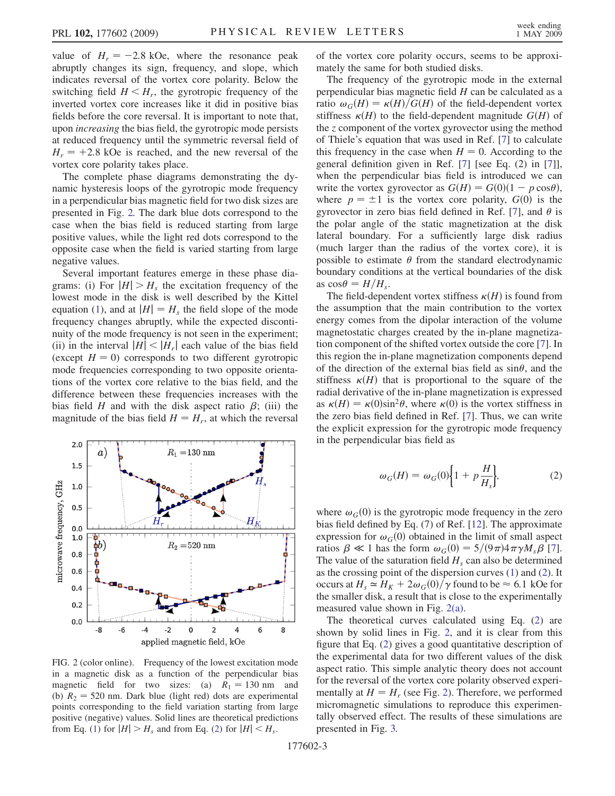<span id="page-2-1"></span>value of  $H_r = -2.8$  kOe, where the resonance peak<br>abruptly changes its sign frequency and slope which abruptly changes its sign, frequency, and slope, which indicates reversal of the vortex core polarity. Below the switching field  $H \leq H_r$ , the gyrotropic frequency of the inverted vortex core increases like it did in positive bias fields before the core reversal. It is important to note that, upon increasing the bias field, the gyrotropic mode persists at reduced frequency until the symmetric reversal field of  $H_r = +2.8$  kOe is reached, and the new reversal of the vortex core polarity takes place.

The complete phase diagrams demonstrating the dynamic hysteresis loops of the gyrotropic mode frequency in a perpendicular bias magnetic field for two disk sizes are presented in Fig. 2. The dark blue dots correspond to the case when the bias field is reduced starting from large positive values, while the light red dots correspond to the opposite case when the field is varied starting from large negative values.

Several important features emerge in these phase diagrams: (i) For  $|H| > H_s$  the excitation frequency of the lowest mode in the disk is well described by the Kittel equation ([1](#page-1-0)), and at  $|H| = H_s$ , the field slope of the mode frequency changes abruptly, while the expected discontinuity of the mode frequency is not seen in the experiment; (ii) in the interval  $|H| < |H_r|$  each value of the bias field (except  $H = 0$ ) corresponds to two different gyrotropic mode frequencies corresponding to two opposite orientations of the vortex core relative to the bias field, and the difference between these frequencies increases with the bias field H and with the disk aspect ratio  $\beta$ ; (iii) the magnitude of the bias field  $H = H_r$ , at which the reversal



FIG. 2 (color online). Frequency of the lowest excitation mode in a magnetic disk as a function of the perpendicular bias magnetic field for two sizes: (a)  $R_1 = 130$  nm and (b)  $R_2 = 520$  nm. Dark blue (light red) dots are experimental points corresponding to the field variation starting from large positive (negative) values. Solid lines are theoretical predictions from Eq. ([1](#page-1-0)) for  $|H| > H_s$  and from Eq. ([2](#page-2-0)) for  $|H| < H_s$ .

of the vortex core polarity occurs, seems to be approximately the same for both studied disks.

The frequency of the gyrotropic mode in the external perpendicular bias magnetic field H can be calculated as a ratio  $\omega_G(H) = \kappa(H)/G(H)$  of the field-dependent vortex stiffness  $\kappa(H)$  to the field-dependent magnitude  $G(H)$  of the z component of the vortex gyrovector using the method of Thiele's equation that was used in Ref. [7] to calculate this frequency in the case when  $H = 0$ . According to the general definition given in Ref. [7] [see Eq. (2) in [7]], when the perpendicular bias field is introduced we can write the vortex gyrovector as  $G(H) = G(0)(1 - p \cos \theta)$ ,<br>where  $p = \pm 1$  is the vortex core polarity  $G(0)$  is the where  $p = \pm 1$  is the vortex core polarity,  $G(0)$  is the gyrovector in zero bias field defined in Ref. [7], and  $\theta$  is the polar angle of the static magnetization at the disk lateral boundary. For a sufficiently large disk radius (much larger than the radius of the vortex core), it is possible to estimate  $\theta$  from the standard electrodynamic boundary conditions at the vertical boundaries of the disk as  $\cos \theta = H/H_{\rm s}$ .

The field-dependent vortex stiffness  $\kappa(H)$  is found from the assumption that the main contribution to the vortex energy comes from the dipolar interaction of the volume magnetostatic charges created by the in-plane magnetization component of the shifted vortex outside the core [7]. In this region the in-plane magnetization components depend of the direction of the external bias field as  $sin\theta$ , and the stiffness  $\kappa(H)$  that is proportional to the square of the radial derivative of the in-plane magnetization is expressed as  $\kappa(H) = \kappa(0)\sin^2\theta$ , where  $\kappa(0)$  is the vortex stiffness in the zero bias field defined in Ref. [7]. Thus, we can write the explicit expression for the gyrotropic mode frequency in the perpendicular bias field as

$$
\omega_G(H) = \omega_G(0) \bigg\{ 1 + p \frac{H}{H_s} \bigg\},\tag{2}
$$

<span id="page-2-0"></span>where  $\omega_G(0)$  is the gyrotropic mode frequency in the zero bias field defined by Eq. (7) of Ref. [12]. The approximate expression for  $\omega_G(0)$  obtained in the limit of small aspect ratios  $\beta \ll 1$  has the form  $\omega_G(0) = 5/(9\pi)4\pi \gamma M_s \beta$  [7]. The value of the saturation field  $H_s$  can also be determined as the crossing point of the dispersion curves ([1\)](#page-1-0) and ([2](#page-2-0)). It occurs at  $H_s \simeq H_K + 2\omega_G(0)/\gamma$  found to be  $\approx 6.1$  kOe for the smaller disk, a result that is close to the experimentally measured value shown in Fig. 2(a).

The theoretical curves calculated using Eq. [\(2\)](#page-2-0) are shown by solid lines in Fig. 2, and it is clear from this figure that Eq. ([2\)](#page-2-0) gives a good quantitative description of the experimental data for two different values of the disk aspect ratio. This simple analytic theory does not account for the reversal of the vortex core polarity observed experimentally at  $H = H_r$  (see Fig. 2). Therefore, we performed micromagnetic simulations to reproduce this experimentally observed effect. The results of these simulations are presented in Fig. [3.](#page-3-0)